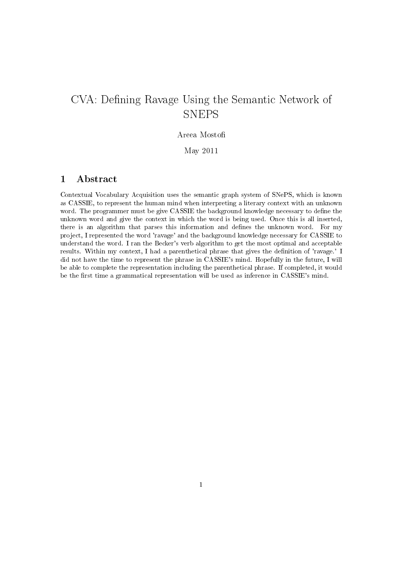# CVA: Defining Ravage Using the Semantic Network of **SNEPS**

#### Areea Mosto

#### May 2011

#### 1 Abstract

Contextual Vocabulary Acquisition uses the semantic graph system of SNePS, which is known as CASSIE, to represent the human mind when interpreting a literary context with an unknown word. The programmer must be give CASSIE the background knowledge necessary to define the unknown word and give the context in which the word is being used. Once this is all inserted, there is an algorithm that parses this information and defines the unknown word. For my project, I represented the word 'ravage' and the background knowledge necessary for CASSIE to understand the word. I ran the Becker's verb algorithm to get the most optimal and acceptable results. Within my context, I had a parenthetical phrase that gives the denition of 'ravage.' I did not have the time to represent the phrase in CASSIE's mind. Hopefully in the future, I will be able to complete the representation including the parenthetical phrase. If completed, it would be the first time a grammatical representation will be used as inference in CASSIE's mind.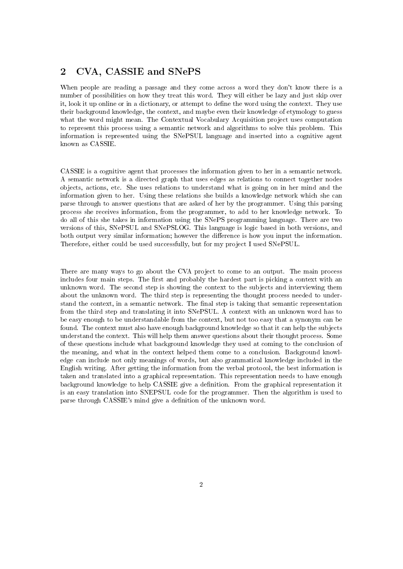#### 2 CVA, CASSIE and SNePS

When people are reading a passage and they come across a word they don't know there is a number of possibilities on how they treat this word. They will either be lazy and just skip over it, look it up online or in a dictionary, or attempt to define the word using the context. They use their background knowledge, the context, and maybe even their knowledge of etymology to guess what the word might mean. The Contextual Vocabulary Acquisition project uses computation to represent this process using a semantic network and algorithms to solve this problem. This information is represented using the SNePSUL language and inserted into a cognitive agent known as CASSIE.

CASSIE is a cognitive agent that processes the information given to her in a semantic network. A semantic network is a directed graph that uses edges as relations to connect together nodes objects, actions, etc. She uses relations to understand what is going on in her mind and the information given to her. Using these relations she builds a knowledge network which she can parse through to answer questions that are asked of her by the programmer. Using this parsing process she receives information, from the programmer, to add to her knowledge network. To do all of this she takes in information using the SNePS programming language. There are two versions of this, SNePSUL and SNePSLOG. This language is logic based in both versions, and both output very similar information; however the difference is how you input the information. Therefore, either could be used successfully, but for my project I used SNePSUL.

There are many ways to go about the CVA project to come to an output. The main process includes four main steps. The first and probably the hardest part is picking a context with an unknown word. The second step is showing the context to the subjects and interviewing them about the unknown word. The third step is representing the thought process needed to understand the context, in a semantic network. The final step is taking that semantic representation from the third step and translating it into SNePSUL. A context with an unknown word has to be easy enough to be understandable from the context, but not too easy that a synonym can be found. The context must also have enough background knowledge so that it can help the subjects understand the context. This will help them answer questions about their thought process. Some of these questions include what background knowledge they used at coming to the conclusion of the meaning, and what in the context helped them come to a conclusion. Background knowledge can include not only meanings of words, but also grammatical knowledge included in the English writing. After getting the information from the verbal protocol, the best information is taken and translated into a graphical representation. This representation needs to have enough background knowledge to help CASSIE give a denition. From the graphical representation it is an easy translation into SNEPSUL code for the programmer. Then the algorithm is used to parse through CASSIE's mind give a definition of the unknown word.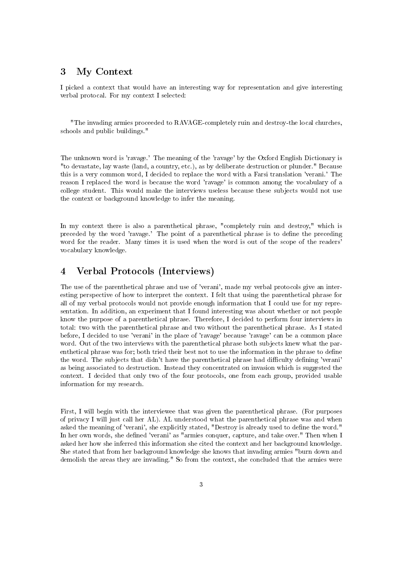### 3 My Context

I picked a context that would have an interesting way for representation and give interesting verbal protocal. For my context I selected:

"The invading armies proceeded to RAVAGE-completely ruin and destroy-the local churches, schools and public buildings."

The unknown word is 'ravage.' The meaning of the 'ravage' by the Oxford English Dictionary is "to devastate, lay waste (land, a country, etc.), as by deliberate destruction or plunder." Because this is a very common word, I decided to replace the word with a Farsi translation 'verani.' The reason I replaced the word is because the word 'ravage' is common among the vocabulary of a college student. This would make the interviews useless because these subjects would not use the context or background knowledge to infer the meaning.

In my context there is also a parenthetical phrase, "completely ruin and destroy," which is preceded by the word 'ravage.' The point of a parenthetical phrase is to dene the preceding word for the reader. Many times it is used when the word is out of the scope of the readers' vocabulary knowledge.

## 4 Verbal Protocols (Interviews)

The use of the parenthetical phrase and use of 'verani', made my verbal protocols give an interesting perspective of how to interpret the context. I felt that using the parenthetical phrase for all of my verbal protocols would not provide enough information that I could use for my representation. In addition, an experiment that I found interesting was about whether or not people know the purpose of a parenthetical phrase. Therefore, I decided to perform four interviews in total: two with the parenthetical phrase and two without the parenthetical phrase. As I stated before, I decided to use 'verani' in the place of 'ravage' because 'ravage' can be a common place word. Out of the two interviews with the parenthetical phrase both subjects knew what the parenthetical phrase was for; both tried their best not to use the information in the phrase to define the word. The subjects that didn't have the parenthetical phrase had difficulty defining 'verani' as being associated to destruction. Instead they concentrated on invasion which is suggested the context. I decided that only two of the four protocols, one from each group, provided usable information for my research.

First, I will begin with the interviewee that was given the parenthetical phrase. (For purposes of privacy I will just call her AL). AL understood what the parenthetical phrase was and when asked the meaning of 'verani', she explicitly stated, "Destroy is already used to define the word." In her own words, she defined 'verani' as "armies conquer, capture, and take over." Then when I asked her how she inferred this information she cited the context and her background knowledge. She stated that from her background knowledge she knows that invading armies "burn down and demolish the areas they are invading." So from the context, she concluded that the armies were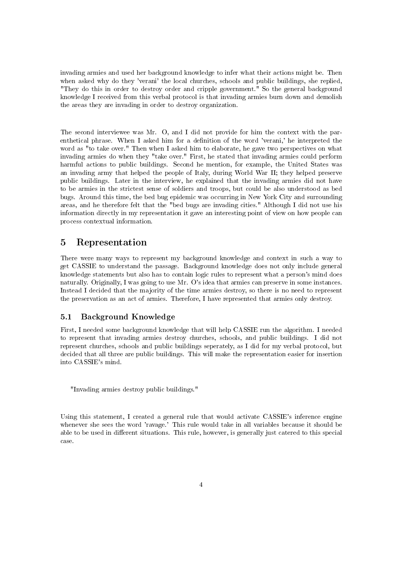invading armies and used her background knowledge to infer what their actions might be. Then when asked why do they 'verani' the local churches, schools and public buildings, she replied, "They do this in order to destroy order and cripple government." So the general background knowledge I received from this verbal protocol is that invading armies burn down and demolish the areas they are invading in order to destroy organization.

The second interviewee was Mr. O, and I did not provide for him the context with the parenthetical phrase. When I asked him for a denition of the word 'verani,' he interpreted the word as "to take over." Then when I asked him to elaborate, he gave two perspectives on what invading armies do when they "take over." First, he stated that invading armies could perform harmful actions to public buildings. Second he mention, for example, the United States was an invading army that helped the people of Italy, during World War II; they helped preserve public buildings. Later in the interview, he explained that the invading armies did not have to be armies in the strictest sense of soldiers and troops, but could be also understood as bed bugs. Around this time, the bed bug epidemic was occurring in New York City and surrounding areas, and he therefore felt that the "bed bugs are invading cities." Although I did not use his information directly in my representation it gave an interesting point of view on how people can process contextual information.

#### 5 Representation

There were many ways to represent my background knowledge and context in such a way to get CASSIE to understand the passage. Background knowledge does not only include general knowledge statements but also has to contain logic rules to represent what a person's mind does naturally. Originally, I was going to use Mr. O's idea that armies can preserve in some instances. Instead I decided that the majority of the time armies destroy, so there is no need to represent the preservation as an act of armies. Therefore, I have represented that armies only destroy.

#### 5.1 Background Knowledge

First, I needed some background knowledge that will help CASSIE run the algorithm. I needed to represent that invading armies destroy churches, schools, and public buildings. I did not represent churches, schools and public buildings seperately, as I did for my verbal protocol, but decided that all three are public buildings. This will make the representation easier for insertion into CASSIE's mind.

"Invading armies destroy public buildings."

Using this statement, I created a general rule that would activate CASSIE's inference engine whenever she sees the word 'ravage.' This rule would take in all variables because it should be able to be used in different situations. This rule, however, is generally just catered to this special case.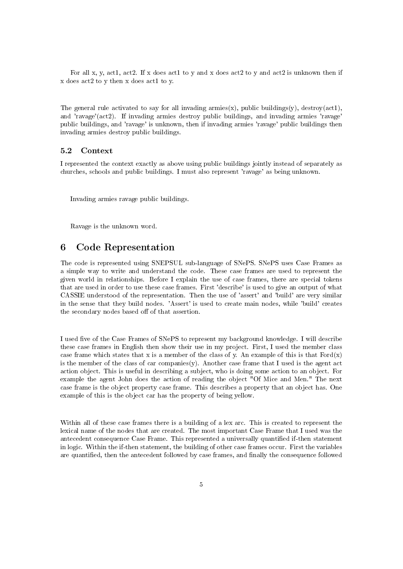For all x, y, act1, act2. If x does act1 to y and x does act2 to y and act2 is unknown then if x does act2 to y then x does act1 to y.

The general rule activated to say for all invading armies(x), public buildings(y), destroy(act1), and 'ravage'(act2). If invading armies destroy public buildings, and invading armies 'ravage' public buildings, and 'ravage' is unknown, then if invading armies 'ravage' public buildings then invading armies destroy public buildings.

#### 5.2 Context

I represented the context exactly as above using public buildings jointly instead of separately as churches, schools and public buildings. I must also represent 'ravage' as being unknown.

Invading armies ravage public buildings.

Ravage is the unknown word.

#### 6 Code Representation

The code is represented using SNEPSUL sub-language of SNePS. SNePS uses Case Frames as a simple way to write and understand the code. These case frames are used to represent the given world in relationships. Before I explain the use of case frames, there are special tokens that are used in order to use these case frames. First 'describe' is used to give an output of what CASSIE understood of the representation. Then the use of 'assert' and 'build' are very similar in the sense that they build nodes. 'Assert' is used to create main nodes, while 'build' creates the secondary nodes based off of that assertion.

I used five of the Case Frames of SNePS to represent my background knowledge. I will describe these case frames in English then show their use in my project. First, I used the member class case frame which states that x is a member of the class of y. An example of this is that  $Ford(x)$ is the member of the class of car companies(y). Another case frame that I used is the agent act action object. This is useful in describing a subject, who is doing some action to an object. For example the agent John does the action of reading the object "Of Mice and Men." The next case frame is the object property case frame. This describes a property that an object has. One example of this is the object car has the property of being yellow.

Within all of these case frames there is a building of a lex arc. This is created to represent the lexical name of the nodes that are created. The most important Case Frame that I used was the antecedent consequence Case Frame. This represented a universally quantified if-then statement in logic. Within the if-then statement, the building of other case frames occur. First the variables are quantified, then the antecedent followed by case frames, and finally the consequence followed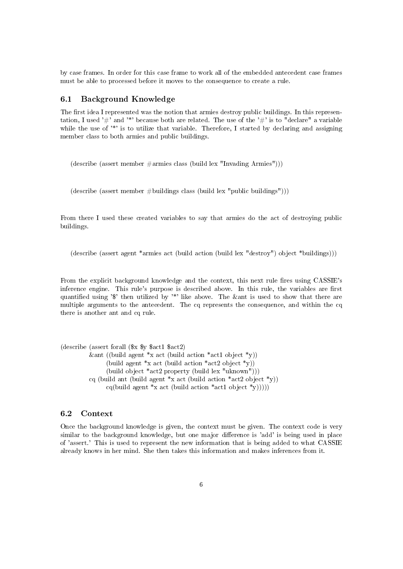by case frames. In order for this case frame to work all of the embedded antecedent case frames must be able to processed before it moves to the consequence to create a rule.

#### 6.1 Background Knowledge

The first idea I represented was the notion that armies destroy public buildings. In this representation, I used '#' and '\*' because both are related. The use of the '#' is to "declare" a variable while the use of '\*' is to utilize that variable. Therefore, I started by declaring and assigning member class to both armies and public buildings.

(describe (assert member  $\#\text{armies class (build lex "Invading Armies"))$ ))

(describe (assert member  $\#$ buildings class (build lex "public buildings")))

From there I used these created variables to say that armies do the act of destroying public buildings.

(describe (assert agent \*armies act (build action (build lex "destroy") object \*buildings)))

From the explicit background knowledge and the context, this next rule fires using CASSIE's inference engine. This rule's purpose is described above. In this rule, the variables are first quantified using '\$' then utilized by  $*$ ' like above. The &ant is used to show that there are multiple arguments to the antecedent. The cq represents the consequence, and within the cq there is another ant and cq rule.

(describe (assert forall (\$x \$y \$act1 \$act2) &ant ((build agent  $*_{x}$  act (build action  $*_{act}1$  object  $*_{v}$ )) (build agent  $x \text{ act (build action } x \text{ act 2 object } y)$ ) (build object \*act2 property (build lex "uknown"))) cq (build ant (build agent  $x$  act (build action  $x$  act 2 object  $xy$ )) cq(build agent \*x act (build action \*act1 object \*y)))))

#### 6.2 Context

Once the background knowledge is given, the context must be given. The context code is very similar to the background knowledge, but one major difference is 'add' is being used in place of 'assert.' This is used to represent the new information that is being added to what CASSIE already knows in her mind. She then takes this information and makes inferences from it.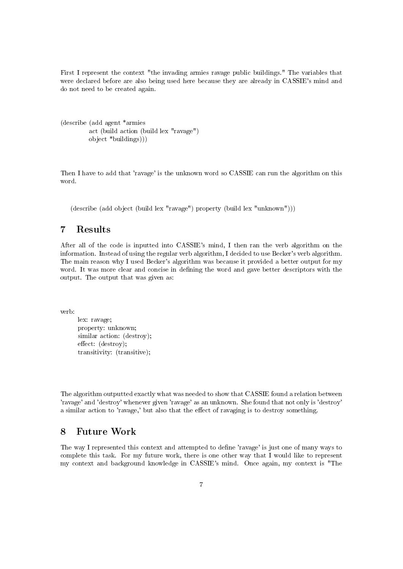First I represent the context "the invading armies ravage public buildings." The variables that were declared before are also being used here because they are already in CASSIE's mind and do not need to be created again.

```
(describe (add agent *armies
         act (build action (build lex "ravage")
         object *buildings)))
```
Then I have to add that 'ravage' is the unknown word so CASSIE can run the algorithm on this word.

(describe (add object (build lex "ravage") property (build lex "unknown")))

# 7 Results

After all of the code is inputted into CASSIE's mind, I then ran the verb algorithm on the information. Instead of using the regular verb algorithm, I decided to use Becker's verb algorithm. The main reason why I used Becker's algorithm was because it provided a better output for my word. It was more clear and concise in defining the word and gave better descriptors with the output. The output that was given as:

verb:

```
lex: ravage;
property: unknown;
similar action: (destroy);
effect: (destrov);transitivity: (transitive);
```
The algorithm outputted exactly what was needed to show that CASSIE found a relation between 'ravage' and 'destroy' whenever given 'ravage' as an unknown. She found that not only is 'destroy' a similar action to 'ravage,' but also that the effect of ravaging is to destroy something.

### 8 Future Work

The way I represented this context and attempted to dene 'ravage' is just one of many ways to complete this task. For my future work, there is one other way that I would like to represent my context and background knowledge in CASSIE's mind. Once again, my context is "The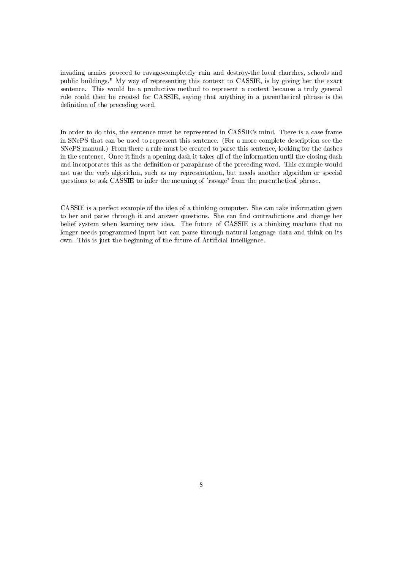invading armies proceed to ravage-completely ruin and destroy-the local churches, schools and public buildings." My way of representing this context to CASSIE, is by giving her the exact sentence. This would be a productive method to represent a context because a truly general rule could then be created for CASSIE, saying that anything in a parenthetical phrase is the definition of the preceding word.

In order to do this, the sentence must be represented in CASSIE's mind. There is a case frame in SNePS that can be used to represent this sentence. (For a more complete description see the SNePS manual.) From there a rule must be created to parse this sentence, looking for the dashes in the sentence. Once it finds a opening dash it takes all of the information until the closing dash and incorporates this as the definition or paraphrase of the preceding word. This example would not use the verb algorithm, such as my representation, but needs another algorithm or special questions to ask CASSIE to infer the meaning of 'ravage' from the parenthetical phrase.

CASSIE is a perfect example of the idea of a thinking computer. She can take information given to her and parse through it and answer questions. She can find contradictions and change her belief system when learning new idea. The future of CASSIE is a thinking machine that no longer needs programmed input but can parse through natural language data and think on its own. This is just the beginning of the future of Artificial Intelligence.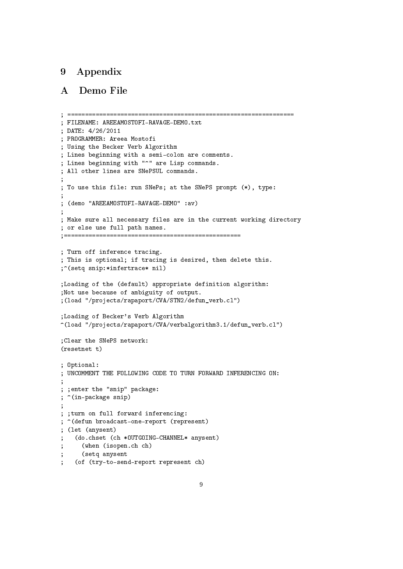# 9 Appendix

# A Demo File

```
; ================================================================
; FILENAME: AREEAMOSTOFI-RAVAGE-DEMO.txt
; DATE: 4/26/2011
; PROGRAMMER: Areea Mostofi
; Using the Becker Verb Algorithm
; Lines beginning with a semi-colon are comments.
; Lines beginning with "^" are Lisp commands.
; All other lines are SNePSUL commands.
;
; To use this file: run SNePs; at the SNePS prompt (*), type:
;
; (demo "AREEAMOSTOFI-RAVAGE-DEMO" :av)
;
; Make sure all necessary files are in the current working directory
; or else use full path names.
;==================================================
; Turn off inference tracing.
; This is optional; if tracing is desired, then delete this.
;^(setq snip:*infertrace* nil)
;Loading of the (default) appropriate definition algorithm:
;Not use because of ambiguity of output.
;(load "/projects/rapaport/CVA/STN2/defun_verb.cl")
;Loading of Becker's Verb Algorithm
^(load "/projects/rapaport/CVA/verbalgorithm3.1/defun_verb.cl")
;Clear the SNePS network:
(resetnet t)
; Optional:
; UNCOMMENT THE FOLLOWING CODE TO TURN FORWARD INFERENCING ON:
;
; ;enter the "snip" package:
; ^(in-package snip)
;
; ;turn on full forward inferencing:
; ^(defun broadcast-one-report (represent)
; (let (anysent)
   (do.chset (ch *OUTGOING-CHANNEL* anysent)
; (when (isopen.ch ch)
; (setq anysent
    (of (try-to-send-report represent ch)
```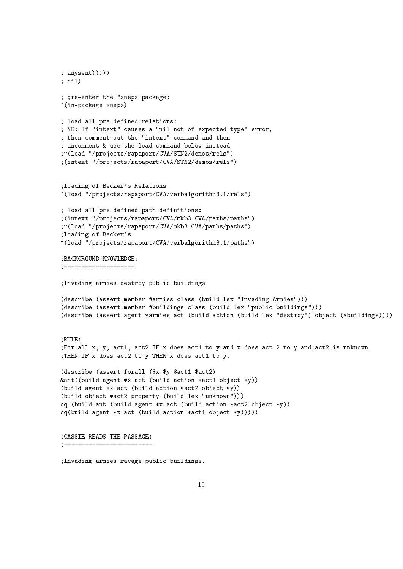```
; anysent)))))
; nil)
; ;re-enter the "sneps package:
\hat{m}(in-package sneps)
; load all pre-defined relations:
; NB: If "intext" causes a "nil not of expected type" error,
; then comment-out the "intext" command and then
; uncomment & use the load command below instead
;^(load "/projects/rapaport/CVA/STN2/demos/rels")
;(intext "/projects/rapaport/CVA/STN2/demos/rels")
;loading of Becker's Relations
^(load "/projects/rapaport/CVA/verbalgorithm3.1/rels")
; load all pre-defined path definitions:
;(intext "/projects/rapaport/CVA/mkb3.CVA/paths/paths")
;^(load "/projects/rapaport/CVA/mkb3.CVA/paths/paths")
;loading of Becker's
^(load "/projects/rapaport/CVA/verbalgorithm3.1/paths")
;BACKGROUND KNOWLEDGE:
;====================
;Invading armies destroy public buildings
(describe (assert member #armies class (build lex "Invading Armies")))
(describe (assert member #buildings class (build lex "public buildings")))
(describe (assert agent *armies act (build action (build lex "destroy") object (*buildings))))
;RULE:
;For all x, y, act1, act2 IF x does act1 to y and x does act 2 to y and act2 is unknown
;THEN IF x does act2 to y THEN x does act1 to y.
(describe (assert forall ($x $y $act1 $act2)
&ant((build agent *x act (build action *act1 object *y))
(build agent *x act (build action *act2 object *y))
(build object *act2 property (build lex "unknown")))
cq (build ant (build agent *x act (build action *act2 object *y))
cq(build agent *x act (build action *act1 object *y))));CASSIE READS THE PASSAGE:
;=========================
```
;Invading armies ravage public buildings.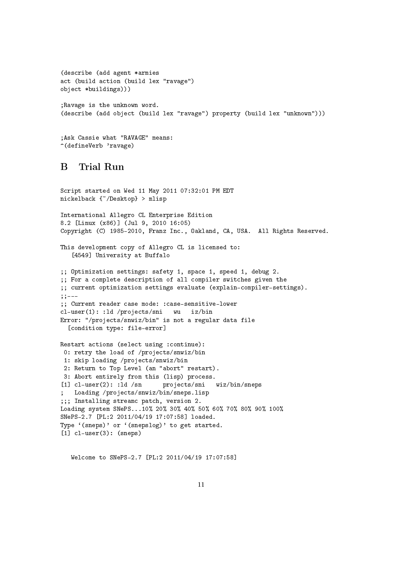```
(describe (add agent *armies
act (build action (build lex "ravage")
object *buildings)))
;Ravage is the unknown word.
(describe (add object (build lex "ravage") property (build lex "unknown")))
```

```
;Ask Cassie what "RAVAGE" means:
^(defineVerb 'ravage)
```
# B Trial Run

```
Script started on Wed 11 May 2011 07:32:01 PM EDT
nickelback {~/Desktop} > mlisp
International Allegro CL Enterprise Edition
8.2 [Linux (x86)] (Jul 9, 2010 16:05)
Copyright (C) 1985-2010, Franz Inc., Oakland, CA, USA. All Rights Reserved.
This development copy of Allegro CL is licensed to:
   [4549] University at Buffalo
;; Optimization settings: safety 1, space 1, speed 1, debug 2.
;; For a complete description of all compiler switches given the
;; current optimization settings evaluate (explain-compiler-settings).
;;---
;; Current reader case mode: :case-sensitive-lower
cl-user(1): :ld /projects/sni wu iz/bin
Error: "/projects/snwiz/bin" is not a regular data file
  [condition type: file-error]
Restart actions (select using :continue):
 0: retry the load of /projects/snwiz/bin
 1: skip loading /projects/snwiz/bin
 2: Return to Top Level (an "abort" restart).
 3: Abort entirely from this (lisp) process.
[1] cl-user(2): :ld /sn projects/sni wiz/bin/sneps
   Loading /projects/snwiz/bin/sneps.lisp
;;; Installing streamc patch, version 2.
Loading system SNePS...10% 20% 30% 40% 50% 60% 70% 80% 90% 100%
SNePS-2.7 [PL:2 2011/04/19 17:07:58] loaded.
Type '(sneps)' or '(snepslog)' to get started.
[1] cl-user(3): (sneps)
```
Welcome to SNePS-2.7 [PL:2 2011/04/19 17:07:58]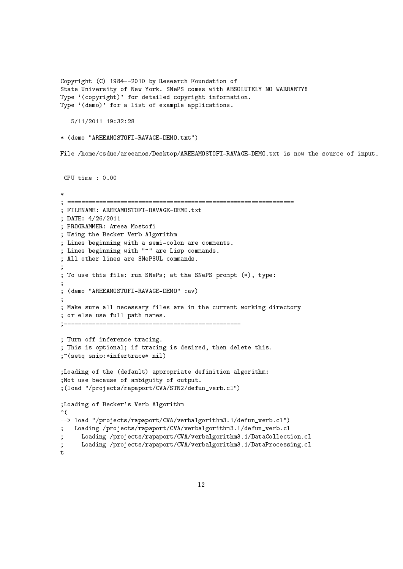Copyright (C) 1984--2010 by Research Foundation of State University of New York. SNePS comes with ABSOLUTELY NO WARRANTY! Type '(copyright)' for detailed copyright information. Type '(demo)' for a list of example applications. 5/11/2011 19:32:28 \* (demo "AREEAMOSTOFI-RAVAGE-DEMO.txt") File /home/csdue/areeamos/Desktop/AREEAMOSTOFI-RAVAGE-DEMO.txt is now the source of input. CPU time : 0.00 \* ; ================================================================ ; FILENAME: AREEAMOSTOFI-RAVAGE-DEMO.txt ; DATE: 4/26/2011 ; PROGRAMMER: Areea Mostofi ; Using the Becker Verb Algorithm ; Lines beginning with a semi-colon are comments. ; Lines beginning with "^" are Lisp commands. ; All other lines are SNePSUL commands. ; ; To use this file: run SNePs; at the SNePS prompt (\*), type: ; ; (demo "AREEAMOSTOFI-RAVAGE-DEMO" :av) ; ; Make sure all necessary files are in the current working directory ; or else use full path names. ;================================================== ; Turn off inference tracing. ; This is optional; if tracing is desired, then delete this. ;^(setq snip:\*infertrace\* nil) ;Loading of the (default) appropriate definition algorithm: ;Not use because of ambiguity of output. ;(load "/projects/rapaport/CVA/STN2/defun\_verb.cl") ;Loading of Becker's Verb Algorithm  $\hat{\mathcal{C}}$ --> load "/projects/rapaport/CVA/verbalgorithm3.1/defun\_verb.cl") ; Loading /projects/rapaport/CVA/verbalgorithm3.1/defun\_verb.cl ; Loading /projects/rapaport/CVA/verbalgorithm3.1/DataCollection.cl ; Loading /projects/rapaport/CVA/verbalgorithm3.1/DataProcessing.cl t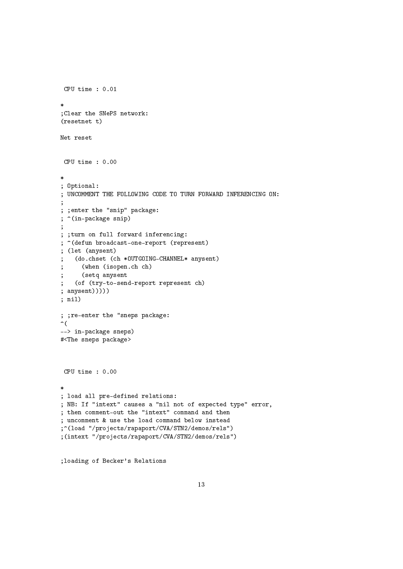```
CPU time : 0.01
*
;Clear the SNePS network:
(resetnet t)
Net reset
 CPU time : 0.00
*
; Optional:
; UNCOMMENT THE FOLLOWING CODE TO TURN FORWARD INFERENCING ON:
;
; ;enter the "snip" package:
; ^(in-package snip)
;
; ;turn on full forward inferencing:
; ^(defun broadcast-one-report (represent)
; (let (anysent)
   (do.chset (ch *OUTGOING-CHANNEL* anysent)
      (when (isopen.ch ch)
      (setq anysent
   (of (try-to-send-report represent ch)
; anysent)))))
; nil)
; ;re-enter the "sneps package:
\hat{\mathcal{C}}--> in-package sneps)
#<The sneps package>
 CPU time : 0.00
*
; load all pre-defined relations:
; NB: If "intext" causes a "nil not of expected type" error,
; then comment-out the "intext" command and then
; uncomment & use the load command below instead
;^(load "/projects/rapaport/CVA/STN2/demos/rels")
;(intext "/projects/rapaport/CVA/STN2/demos/rels")
```
;loading of Becker's Relations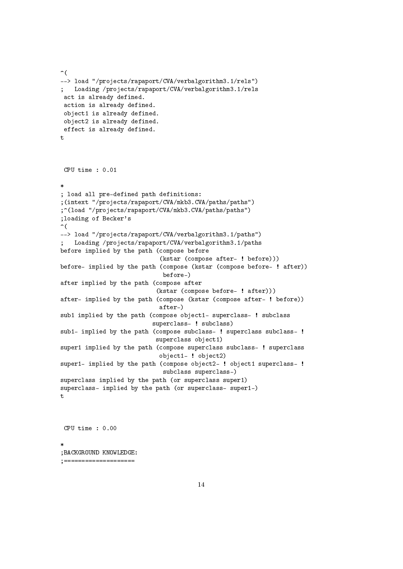```
\hat{\mathcal{L}}--> load "/projects/rapaport/CVA/verbalgorithm3.1/rels")
; Loading /projects/rapaport/CVA/verbalgorithm3.1/rels
act is already defined.
action is already defined.
 object1 is already defined.
object2 is already defined.
 effect is already defined.
t
CPU time : 0.01
*
; load all pre-defined path definitions:
;(intext "/projects/rapaport/CVA/mkb3.CVA/paths/paths")
;^(load "/projects/rapaport/CVA/mkb3.CVA/paths/paths")
;loading of Becker's
\hat{\mathcal{L}}--> load "/projects/rapaport/CVA/verbalgorithm3.1/paths")
; Loading /projects/rapaport/CVA/verbalgorithm3.1/paths
before implied by the path (compose before
                             (kstar (compose after- ! before)))
before- implied by the path (compose (kstar (compose before- ! after))
                             before-)
after implied by the path (compose after
                            (kstar (compose before- ! after)))
after- implied by the path (compose (kstar (compose after- ! before))
                             after-)
sub1 implied by the path (compose object1- superclass- ! subclass
                           superclass- ! subclass)
sub1- implied by the path (compose subclass- ! superclass subclass- !
                           superclass object1)
super1 implied by the path (compose superclass subclass- ! superclass
                            object1- ! object2)
super1- implied by the path (compose object2- ! object1 superclass- !
                             subclass superclass-)
superclass implied by the path (or superclass super1)
superclass- implied by the path (or superclass- super1-)
t
CPU time : 0.00
```
\* ;BACKGROUND KNOWLEDGE: ;====================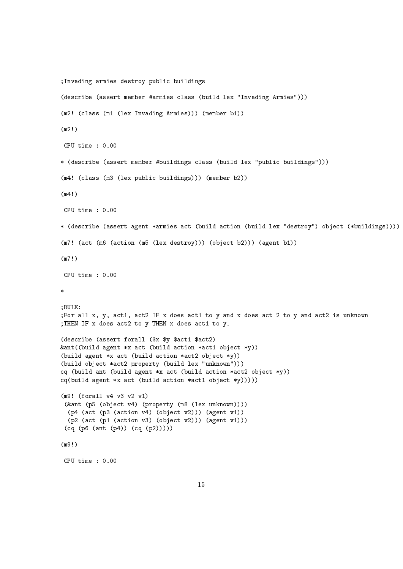```
;Invading armies destroy public buildings
(describe (assert member #armies class (build lex "Invading Armies")))
(m2! (class (m1 (lex Invading Armies))) (member b1))
(m2!)
CPU time : 0.00
* (describe (assert member #buildings class (build lex "public buildings")))
(m4! (class (m3 (lex public buildings))) (member b2))
(m4!)
CPU time : 0.00
* (describe (assert agent *armies act (build action (build lex "destroy") object (*buildings))))
(m7! (act (m6 (action (m5 (lex destroy))) (object b2))) (agent b1))
(m7!)
CPU time : 0.00
*
;RULE:
;For all x, y, act1, act2 IF x does act1 to y and x does act 2 to y and act2 is unknown
;THEN IF x does act2 to y THEN x does act1 to y.
(describe (assert forall ($x $y $act1 $act2)
&ant((build agent *x act (build action *act1 object *y))
(build agent *x act (build action *act2 object *y))
(build object *act2 property (build lex "unknown")))
cq (build ant (build agent *x act (build action *act2 object *y))
cq(build agent *x act (build action *act1 object *y)))))
(m9! (forall v4 v3 v2 v1)
 (&ant (p5 (object v4) (property (m8 (lex unknown))))
  (p4 (act (p3 (action v4) (object v2))) (agent v1))
  (p2 (act (p1 (action v3) (object v2))) (agent v1)))
 (cq (p6 (ant (p4)) (cq (p2)))))
(m9!)
CPU time : 0.00
```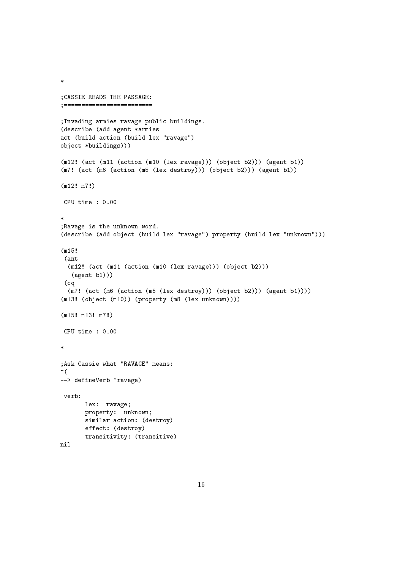```
;CASSIE READS THE PASSAGE:
;=========================
;Invading armies ravage public buildings.
(describe (add agent *armies
act (build action (build lex "ravage")
object *buildings)))
(m12! (act (m11 (action (m10 (lex ravage))) (object b2))) (agent b1))
(m7! (act (m6 (action (m5 (lex destroy))) (object b2))) (agent b1))
(m12! m7!)
CPU time : 0.00
*
;Ravage is the unknown word.
(describe (add object (build lex "ravage") property (build lex "unknown")))
(m15!
 (ant
  (m12! (act (m11 (action (m10 (lex ravage))) (object b2)))
   (agent b1)))
 (cq
  (m7! (act (m6 (action (m5 (lex destroy))) (object b2))) (agent b1))))
(m13! (object (m10)) (property (m8 (lex unknown))))
(m15! m13! m7!)
 CPU time : 0.00
*
;Ask Cassie what "RAVAGE" means:
\hat{\mathcal{C}}--> defineVerb 'ravage)
 verb:
       lex: ravage;
       property: unknown;
       similar action: (destroy)
       effect: (destroy)
       transitivity: (transitive)
nil
```
\*